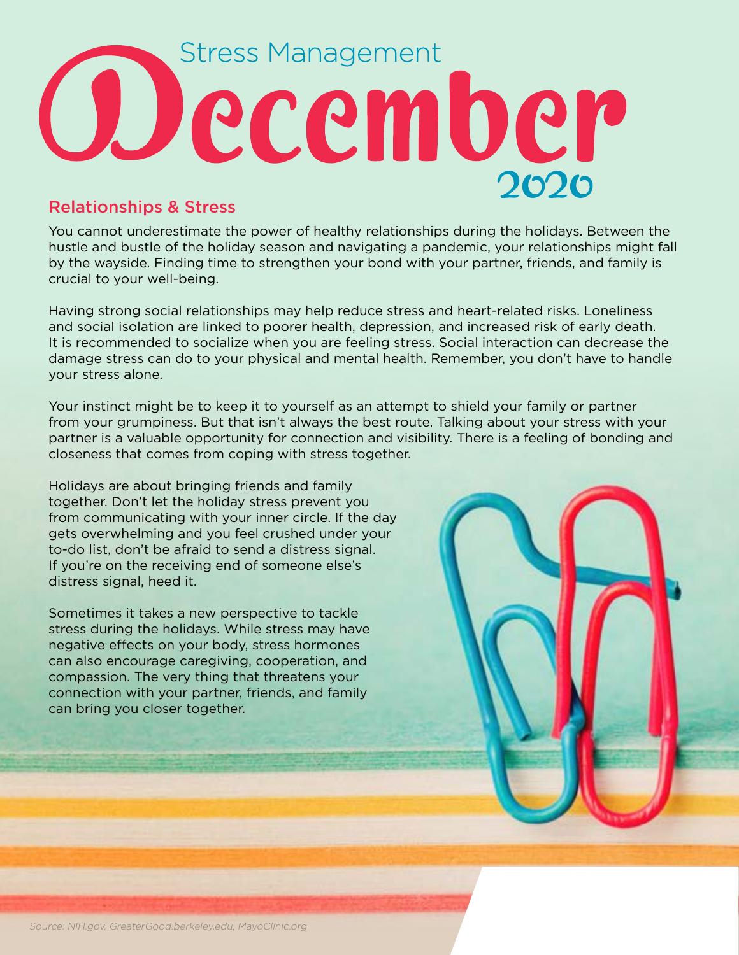## **Stress Management** Odecember

## Relationships & Stress

You cannot underestimate the power of healthy relationships during the holidays. Between the hustle and bustle of the holiday season and navigating a pandemic, your relationships might fall by the wayside. Finding time to strengthen your bond with your partner, friends, and family is crucial to your well-being.

Having strong social relationships may help reduce stress and heart-related risks. Loneliness and social isolation are linked to poorer health, depression, and increased risk of early death. It is recommended to socialize when you are feeling stress. Social interaction can decrease the damage stress can do to your physical and mental health. Remember, you don't have to handle your stress alone.

Your instinct might be to keep it to yourself as an attempt to shield your family or partner from your grumpiness. But that isn't always the best route. Talking about your stress with your partner is a valuable opportunity for connection and visibility. There is a feeling of bonding and closeness that comes from coping with stress together.

Holidays are about bringing friends and family together. Don't let the holiday stress prevent you from communicating with your inner circle. If the day gets overwhelming and you feel crushed under your to-do list, don't be afraid to send a distress signal. If you're on the receiving end of someone else's distress signal, heed it.

Sometimes it takes a new perspective to tackle stress during the holidays. While stress may have negative effects on your body, stress hormones can also encourage caregiving, cooperation, and compassion. The very thing that threatens your connection with your partner, friends, and family can bring you closer together.